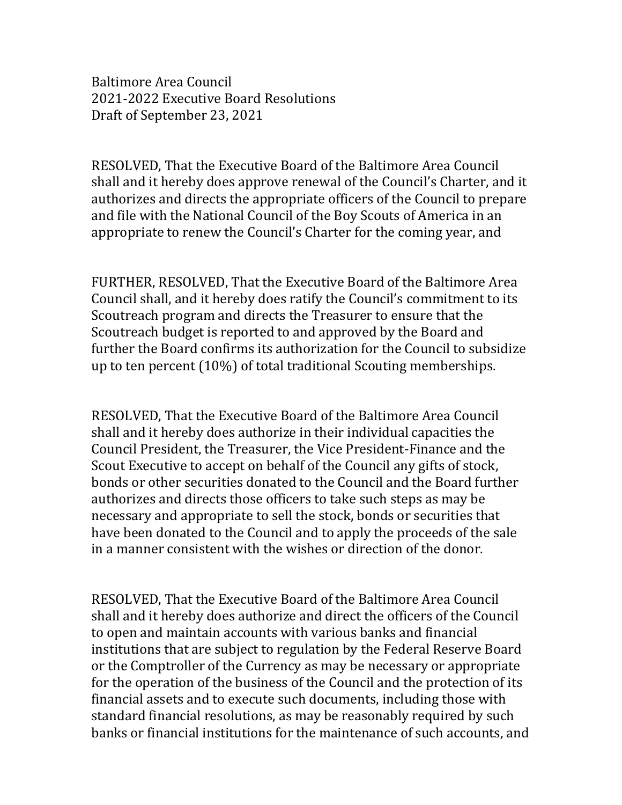Baltimore Area Council 2021-2022 Executive Board Resolutions Draft of September 23, 2021

RESOLVED, That the Executive Board of the Baltimore Area Council shall and it hereby does approve renewal of the Council's Charter, and it authorizes and directs the appropriate officers of the Council to prepare and file with the National Council of the Boy Scouts of America in an appropriate to renew the Council's Charter for the coming year, and

FURTHER, RESOLVED, That the Executive Board of the Baltimore Area Council shall, and it hereby does ratify the Council's commitment to its Scoutreach program and directs the Treasurer to ensure that the Scoutreach budget is reported to and approved by the Board and further the Board confirms its authorization for the Council to subsidize up to ten percent (10%) of total traditional Scouting memberships.

RESOLVED, That the Executive Board of the Baltimore Area Council shall and it hereby does authorize in their individual capacities the Council President, the Treasurer, the Vice President-Finance and the Scout Executive to accept on behalf of the Council any gifts of stock, bonds or other securities donated to the Council and the Board further authorizes and directs those officers to take such steps as may be necessary and appropriate to sell the stock, bonds or securities that have been donated to the Council and to apply the proceeds of the sale in a manner consistent with the wishes or direction of the donor.

RESOLVED, That the Executive Board of the Baltimore Area Council shall and it hereby does authorize and direct the officers of the Council to open and maintain accounts with various banks and financial institutions that are subject to regulation by the Federal Reserve Board or the Comptroller of the Currency as may be necessary or appropriate for the operation of the business of the Council and the protection of its financial assets and to execute such documents, including those with standard financial resolutions, as may be reasonably required by such banks or financial institutions for the maintenance of such accounts, and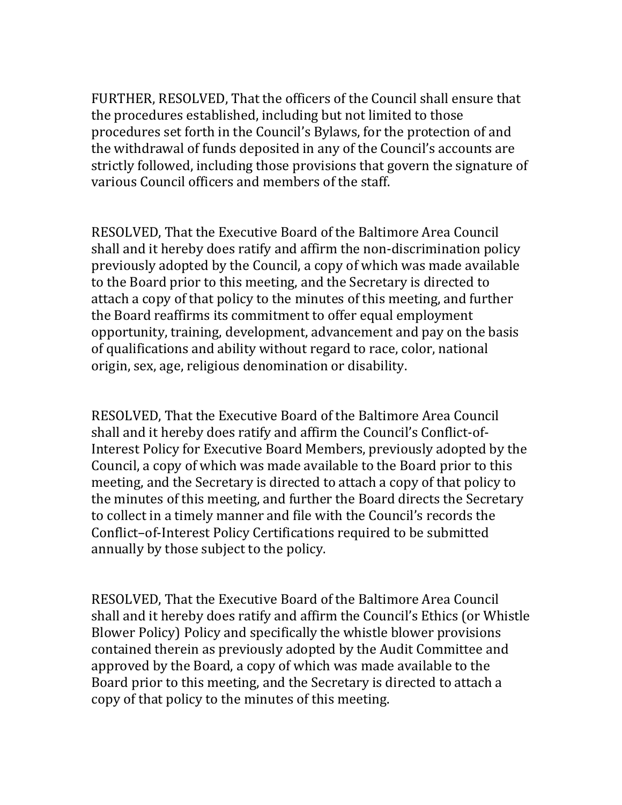FURTHER, RESOLVED, That the officers of the Council shall ensure that the procedures established, including but not limited to those procedures set forth in the Council's Bylaws, for the protection of and the withdrawal of funds deposited in any of the Council's accounts are strictly followed, including those provisions that govern the signature of various Council officers and members of the staff.

RESOLVED, That the Executive Board of the Baltimore Area Council shall and it hereby does ratify and affirm the non-discrimination policy previously adopted by the Council, a copy of which was made available to the Board prior to this meeting, and the Secretary is directed to attach a copy of that policy to the minutes of this meeting, and further the Board reaffirms its commitment to offer equal employment opportunity, training, development, advancement and pay on the basis of qualifications and ability without regard to race, color, national origin, sex, age, religious denomination or disability.

RESOLVED, That the Executive Board of the Baltimore Area Council shall and it hereby does ratify and affirm the Council's Conflict-of-Interest Policy for Executive Board Members, previously adopted by the Council, a copy of which was made available to the Board prior to this meeting, and the Secretary is directed to attach a copy of that policy to the minutes of this meeting, and further the Board directs the Secretary to collect in a timely manner and file with the Council's records the Conflict–of-Interest Policy Certifications required to be submitted annually by those subject to the policy.

RESOLVED, That the Executive Board of the Baltimore Area Council shall and it hereby does ratify and affirm the Council's Ethics (or Whistle Blower Policy) Policy and specifically the whistle blower provisions contained therein as previously adopted by the Audit Committee and approved by the Board, a copy of which was made available to the Board prior to this meeting, and the Secretary is directed to attach a copy of that policy to the minutes of this meeting.